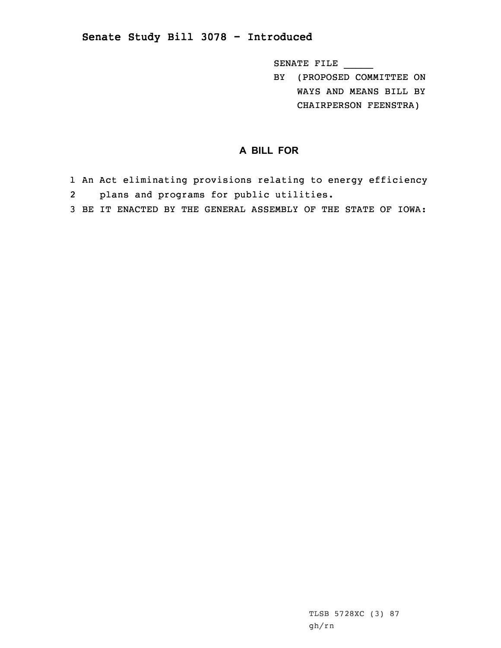## **Senate Study Bill 3078 - Introduced**

SENATE FILE \_\_\_\_\_

BY (PROPOSED COMMITTEE ON WAYS AND MEANS BILL BY CHAIRPERSON FEENSTRA)

## **A BILL FOR**

- 1 An Act eliminating provisions relating to energy efficiency 2plans and programs for public utilities.
- 3 BE IT ENACTED BY THE GENERAL ASSEMBLY OF THE STATE OF IOWA: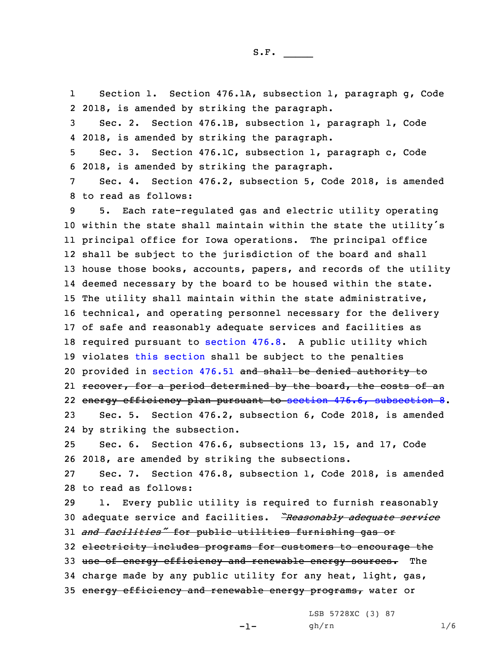1 Section 1. Section 476.1A, subsection 1, paragraph g, Code 2 2018, is amended by striking the paragraph.

S.F.  $\rule{1em}{0.15mm}$ 

3 Sec. 2. Section 476.1B, subsection 1, paragraph l, Code 4 2018, is amended by striking the paragraph.

5 Sec. 3. Section 476.1C, subsection 1, paragraph c, Code 6 2018, is amended by striking the paragraph.

7 Sec. 4. Section 476.2, subsection 5, Code 2018, is amended 8 to read as follows:

 5. Each rate-regulated gas and electric utility operating within the state shall maintain within the state the utility's principal office for Iowa operations. The principal office shall be subject to the jurisdiction of the board and shall house those books, accounts, papers, and records of the utility deemed necessary by the board to be housed within the state. The utility shall maintain within the state administrative, technical, and operating personnel necessary for the delivery of safe and reasonably adequate services and facilities as required pursuant to [section](https://www.legis.iowa.gov/docs/code/2018/476.8.pdf) 476.8. <sup>A</sup> public utility which violates this [section](https://www.legis.iowa.gov/docs/code/2018/476.2.pdf) shall be subject to the penalties provided in [section](https://www.legis.iowa.gov/docs/code/2018/476.51.pdf) 476.51 and shall be denied authority to 21 <del>recover, for a period determined by the board, the costs of an</del> energy efficiency plan pursuant to section 476.6, [subsection](https://www.legis.iowa.gov/docs/code/2018/476.6.pdf) 8. Sec. 5. Section 476.2, subsection 6, Code 2018, is amended

24 by striking the subsection.

25 Sec. 6. Section 476.6, subsections 13, 15, and 17, Code 26 2018, are amended by striking the subsections.

27 Sec. 7. Section 476.8, subsection 1, Code 2018, is amended 28 to read as follows:

 1. Every public utility is required to furnish reasonably adequate service and facilities. *"Reasonably adequate service and facilities"* for public utilities furnishing gas or electricity includes programs for customers to encourage the 33 use of energy efficiency and renewable energy sources. The charge made by any public utility for any heat, light, gas, 35 energy efficiency and renewable energy programs, water or

LSB 5728XC (3) 87

 $-1-$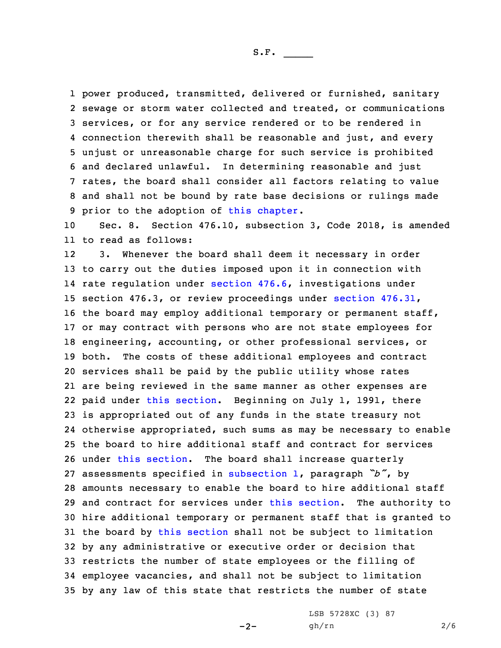power produced, transmitted, delivered or furnished, sanitary sewage or storm water collected and treated, or communications services, or for any service rendered or to be rendered in connection therewith shall be reasonable and just, and every unjust or unreasonable charge for such service is prohibited and declared unlawful. In determining reasonable and just rates, the board shall consider all factors relating to value and shall not be bound by rate base decisions or rulings made prior to the adoption of this [chapter](https://www.legis.iowa.gov/docs/code/2018/476.pdf).

10 Sec. 8. Section 476.10, subsection 3, Code 2018, is amended 11 to read as follows:

12 3. Whenever the board shall deem it necessary in order to carry out the duties imposed upon it in connection with rate regulation under [section](https://www.legis.iowa.gov/docs/code/2018/476.6.pdf) 476.6, investigations under section 476.3, or review proceedings under section [476.31](https://www.legis.iowa.gov/docs/code/2018/476.31.pdf), the board may employ additional temporary or permanent staff, or may contract with persons who are not state employees for engineering, accounting, or other professional services, or both. The costs of these additional employees and contract services shall be paid by the public utility whose rates are being reviewed in the same manner as other expenses are paid under this [section](https://www.legis.iowa.gov/docs/code/2018/476.10.pdf). Beginning on July 1, 1991, there is appropriated out of any funds in the state treasury not otherwise appropriated, such sums as may be necessary to enable the board to hire additional staff and contract for services under this [section](https://www.legis.iowa.gov/docs/code/2018/476.10.pdf). The board shall increase quarterly assessments specified in [subsection](https://www.legis.iowa.gov/docs/code/2018/476.10.pdf) 1, paragraph *"b"*, by amounts necessary to enable the board to hire additional staff and contract for services under this [section](https://www.legis.iowa.gov/docs/code/2018/476.10.pdf). The authority to hire additional temporary or permanent staff that is granted to 31 the board by this [section](https://www.legis.iowa.gov/docs/code/2018/476.10.pdf) shall not be subject to limitation by any administrative or executive order or decision that restricts the number of state employees or the filling of employee vacancies, and shall not be subject to limitation by any law of this state that restricts the number of state

 $-2-$ 

LSB 5728XC (3) 87 gh/rn 2/6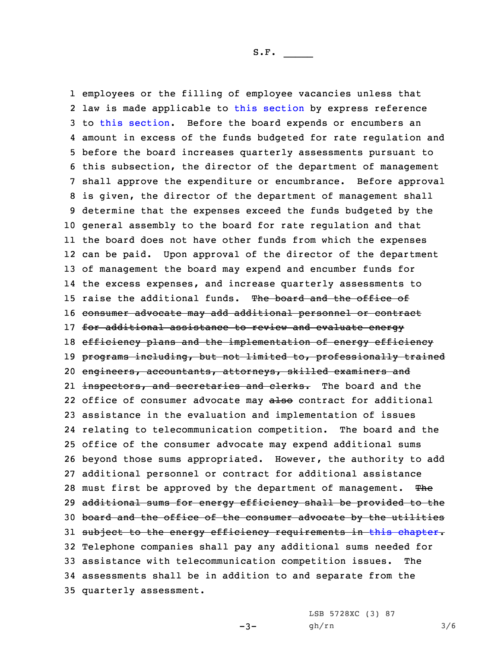employees or the filling of employee vacancies unless that law is made applicable to this [section](https://www.legis.iowa.gov/docs/code/2018/476.10.pdf) by express reference to this [section](https://www.legis.iowa.gov/docs/code/2018/476.10.pdf). Before the board expends or encumbers an amount in excess of the funds budgeted for rate regulation and before the board increases quarterly assessments pursuant to this subsection, the director of the department of management shall approve the expenditure or encumbrance. Before approval is given, the director of the department of management shall determine that the expenses exceed the funds budgeted by the general assembly to the board for rate regulation and that the board does not have other funds from which the expenses can be paid. Upon approval of the director of the department of management the board may expend and encumber funds for the excess expenses, and increase quarterly assessments to 15 raise the additional funds. The board and the office of consumer advocate may add additional personnel or contract 17 for additional assistance to review and evaluate energy 18 efficiency plans and the implementation of energy efficiency 19 programs including, but not limited to, professionally trained engineers, accountants, attorneys, skilled examiners and 21 <del>inspectors, and secretaries and clerks.</del> The board and the 22 office of consumer advocate may also contract for additional assistance in the evaluation and implementation of issues relating to telecommunication competition. The board and the office of the consumer advocate may expend additional sums beyond those sums appropriated. However, the authority to add additional personnel or contract for additional assistance 28 must first be approved by the department of management. The additional sums for energy efficiency shall be provided to the board and the office of the consumer advocate by the utilities 31 subject to the energy efficiency requirements in this [chapter](https://www.legis.iowa.gov/docs/code/2018/476.pdf). Telephone companies shall pay any additional sums needed for assistance with telecommunication competition issues. The assessments shall be in addition to and separate from the quarterly assessment.

 $-3-$ 

LSB 5728XC (3) 87 gh/rn 3/6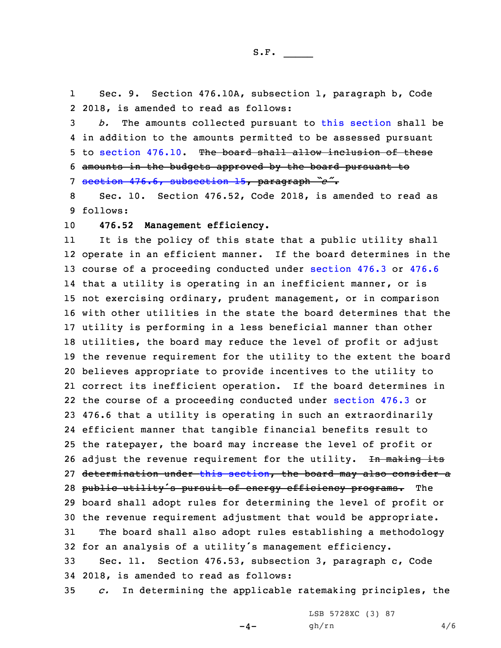1 Sec. 9. Section 476.10A, subsection 1, paragraph b, Code 2 2018, is amended to read as follows:

 *b.* The amounts collected pursuant to this [section](https://www.legis.iowa.gov/docs/code/2018/476.10A.pdf) shall be in addition to the amounts permitted to be assessed pursuant 5 to [section](https://www.legis.iowa.gov/docs/code/2018/476.10.pdf) 476.10. The board shall allow inclusion of these amounts in the budgets approved by the board pursuant to section 476.6, [subsection](https://www.legis.iowa.gov/docs/code/2018/476.6.pdf) 15, paragraph *"e"*.

8 Sec. 10. Section 476.52, Code 2018, is amended to read as 9 follows:

10 **476.52 Management efficiency.**

11 It is the policy of this state that <sup>a</sup> public utility shall operate in an efficient manner. If the board determines in the course of <sup>a</sup> proceeding conducted under [section](https://www.legis.iowa.gov/docs/code/2018/476.3.pdf) 476.3 or [476.6](https://www.legis.iowa.gov/docs/code/2018/476.6.pdf) that <sup>a</sup> utility is operating in an inefficient manner, or is not exercising ordinary, prudent management, or in comparison with other utilities in the state the board determines that the utility is performing in <sup>a</sup> less beneficial manner than other utilities, the board may reduce the level of profit or adjust the revenue requirement for the utility to the extent the board believes appropriate to provide incentives to the utility to correct its inefficient operation. If the board determines in the course of <sup>a</sup> proceeding conducted under [section](https://www.legis.iowa.gov/docs/code/2018/476.3.pdf) 476.3 or 476.6 that <sup>a</sup> utility is operating in such an extraordinarily efficient manner that tangible financial benefits result to the ratepayer, the board may increase the level of profit or 26 adjust the revenue requirement for the utility. In making its 27 determination under this [section](https://www.legis.iowa.gov/docs/code/2018/476.52.pdf), the board may also consider a 28 public utility's pursuit of energy efficiency programs. The board shall adopt rules for determining the level of profit or the revenue requirement adjustment that would be appropriate. The board shall also adopt rules establishing <sup>a</sup> methodology for an analysis of <sup>a</sup> utility's management efficiency. Sec. 11. Section 476.53, subsection 3, paragraph c, Code

34 2018, is amended to read as follows:

35 *c.* In determining the applicable ratemaking principles, the

 $-4-$ 

LSB 5728XC (3) 87 gh/rn 4/6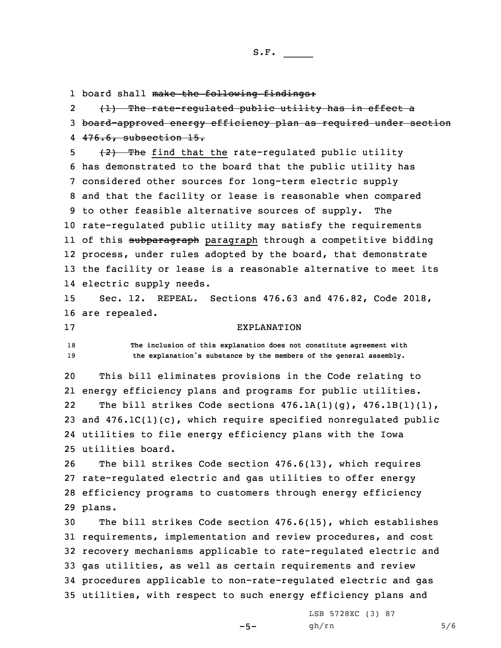S.F.  $\rule{1em}{0.15mm}$ 

1 board shall make the following findings:

2 (1) The rate-regulated public utility has in effect <sup>a</sup> 3 board-approved energy efficiency plan as required under section 4 476.6, subsection 15.

 $\frac{1}{2}$   $\frac{1}{2}$  The find that the rate-regulated public utility has demonstrated to the board that the public utility has considered other sources for long-term electric supply and that the facility or lease is reasonable when compared to other feasible alternative sources of supply. The rate-regulated public utility may satisfy the requirements ll of this <del>subparagraph</del> paragraph through a competitive bidding process, under rules adopted by the board, that demonstrate the facility or lease is <sup>a</sup> reasonable alternative to meet its electric supply needs.

15 Sec. 12. REPEAL. Sections 476.63 and 476.82, Code 2018, 16 are repealed.

## 17 EXPLANATION

18 **The inclusion of this explanation does not constitute agreement with** <sup>19</sup> **the explanation's substance by the members of the general assembly.**

 This bill eliminates provisions in the Code relating to energy efficiency plans and programs for public utilities. 22The bill strikes Code sections  $476.1A(1)(g)$ ,  $476.1B(1)(1)$ , and 476.1C(1)(c), which require specified nonregulated public utilities to file energy efficiency plans with the Iowa utilities board.

 The bill strikes Code section 476.6(13), which requires rate-regulated electric and gas utilities to offer energy efficiency programs to customers through energy efficiency 29 plans.

 The bill strikes Code section 476.6(15), which establishes requirements, implementation and review procedures, and cost recovery mechanisms applicable to rate-regulated electric and gas utilities, as well as certain requirements and review procedures applicable to non-rate-regulated electric and gas utilities, with respect to such energy efficiency plans and

 $-5-$ 

LSB 5728XC (3) 87 gh/rn 5/6